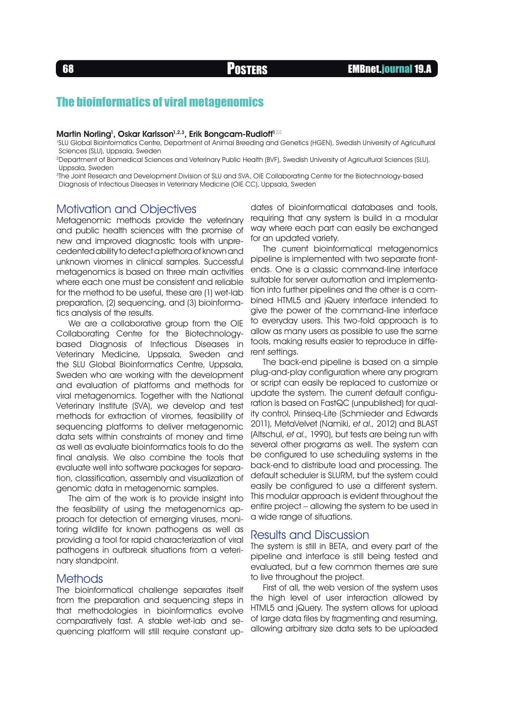# The bioinformatics of viral metagenomics

### Martin Norling<sup>1</sup>, Oskar Karlsson<sup>1,2,3</sup>, Erik Bongcam-Rudloff<sup>1⊠</sup>

1 SLU Global Bioinformatics Centre, Department of Animal Breeding and Genetics (HGEN), Swedish University of Agricultural Sciences (SLU), Uppsala, Sweden

2Department of Biomedical Sciences and Veterinary Public Health (BVF), Swedish University of Agricultural Sciences (SLU), Uppsala, Sweden

3 The Joint Research and Development Division of SLU and SVA, OIE Collaborating Centre for the Biotechnology-based Diagnosis of Infectious Diseases in Veterinary Medicine (OIE CC), Uppsala, Sweden

## Motivation and Objectives

Metagenomic methods provide the veterinary and public health sciences with the promise of new and improved diagnostic tools with unprecedented ability to detect a plethora of known and unknown viromes in clinical samples. Successful metagenomics is based on three main activities where each one must be consistent and reliable for the method to be useful, these are (1) wet-lab preparation, (2) sequencing, and (3) bioinformatics analysis of the results.

We are a collaborative group from the OIE Collaborating Centre for the Biotechnologybased Diagnosis of Infectious Diseases in Veterinary Medicine, Uppsala, Sweden and the SLU Global Bioinformatics Centre, Uppsala, Sweden who are working with the development and evaluation of platforms and methods for viral metagenomics. Together with the National Veterinary Institute (SVA), we develop and test methods for extraction of viromes, feasibility of sequencing platforms to deliver metagenomic data sets within constraints of money and time as well as evaluate bioinformatics tools to do the final analysis. We also combine the tools that evaluate well into software packages for separation, classification, assembly and visualization of genomic data in metagenomic samples.

The aim of the work is to provide insight into the feasibility of using the metagenomics approach for detection of emerging viruses, monitoring wildlife for known pathogens as well as providing a tool for rapid characterization of viral pathogens in outbreak situations from a veterinary standpoint.

### **Methods**

The bioinformatical challenge separates itself from the preparation and sequencing steps in that methodologies in bioinformatics evolve comparatively fast. A stable wet-lab and sequencing platform will still require constant up-

dates of bioinformatical databases and tools, requiring that any system is build in a modular way where each part can easily be exchanged for an updated variety.

The current bioinformatical metagenomics pipeline is implemented with two separate frontends. One is a classic command-line interface suitable for server automation and implementation into further pipelines and the other is a combined HTML5 and jQuery interface intended to give the power of the command-line interface to everyday users. This two-fold approach is to allow as many users as possible to use the same tools, making results easier to reproduce in different settings.

The back-end pipeline is based on a simple plug-and-play configuration where any program or script can easily be replaced to customize or update the system. The current default configuration is based on FastQC (unpublished) for quality control, Prinseq-Lite (Schmieder and Edwards 2011), MetaVelvet (Namiki, et al., 2012) and BLAST (Altschul, et al., 1990), but tests are being run with several other programs as well. The system can be configured to use scheduling systems in the back-end to distribute load and processing. The default scheduler is SLURM, but the system could easily be configured to use a different system. This modular approach is evident throughout the entire project – allowing the system to be used in a wide range of situations.

### Results and Discussion

The system is still in BETA, and every part of the pipeline and interface is still being tested and evaluated, but a few common themes are sure to live throughout the project.

First of all, the web version of the system uses the high level of user interaction allowed by HTML5 and jQuery. The system allows for upload of large data files by fragmenting and resuming, allowing arbitrary size data sets to be uploaded